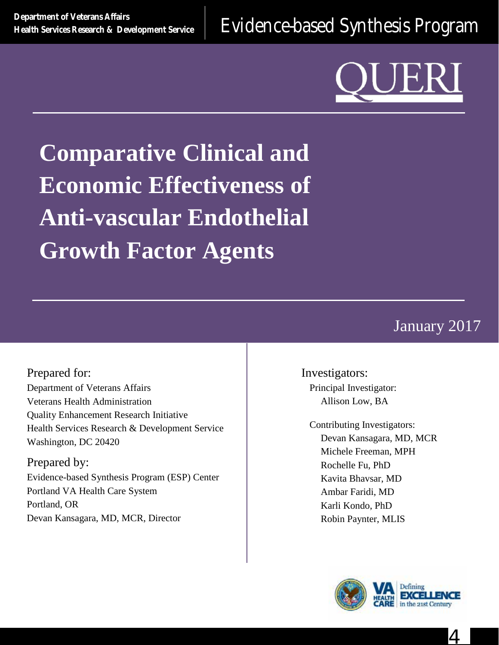**[Health Services Research & Development Service](http://www.hsrd.research.va.gov/)** [Evidence-based Synthesis Program](http://www.hsrd.research.va.gov/publications/esp/)

**Comparative Clinical and Economic Effectiveness of Anti-vascular Endothelial Growth Factor Agents**

# January 2017

Prepared for: Department of Veterans Affairs Veterans Health Administration Quality Enhancement Research Initiative Health Services Research & Development Service Washington, DC 20420

Prepared by: Evidence-based Synthesis Program (ESP) Center Portland VA Health Care System Portland, OR Devan Kansagara, MD, MCR, Director

Investigators: Principal Investigator: Allison Low, BA

Contributing Investigators: Devan Kansagara, MD, MCR Michele Freeman, MPH Rochelle Fu, PhD Kavita Bhavsar, MD Ambar Faridi, MD Karli Kondo, PhD Robin Paynter, MLIS



4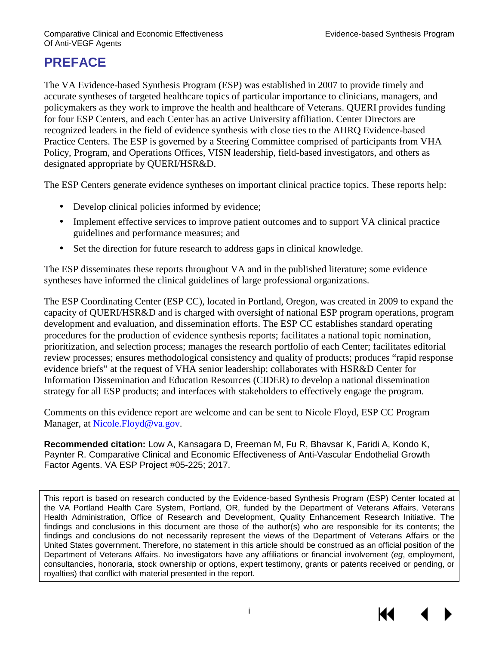# **PREFACE**

The VA Evidence-based Synthesis Program (ESP) was established in 2007 to provide timely and accurate syntheses of targeted healthcare topics of particular importance to clinicians, managers, and policymakers as they work to improve the health and healthcare of Veterans. QUERI provides funding for four ESP Centers, and each Center has an active University affiliation. Center Directors are recognized leaders in the field of evidence synthesis with close ties to the AHRQ Evidence-based Practice Centers. The ESP is governed by a Steering Committee comprised of participants from VHA Policy, Program, and Operations Offices, VISN leadership, field-based investigators, and others as designated appropriate by QUERI/HSR&D.

The ESP Centers generate evidence syntheses on important clinical practice topics. These reports help:

- Develop clinical policies informed by evidence;
- Implement effective services to improve patient outcomes and to support VA clinical practice guidelines and performance measures; and
- Set the direction for future research to address gaps in clinical knowledge.

The ESP disseminates these reports throughout VA and in the published literature; some evidence syntheses have informed the clinical guidelines of large professional organizations.

The ESP Coordinating Center (ESP CC), located in Portland, Oregon, was created in 2009 to expand the capacity of QUERI/HSR&D and is charged with oversight of national ESP program operations, program development and evaluation, and dissemination efforts. The ESP CC establishes standard operating procedures for the production of evidence synthesis reports; facilitates a national topic nomination, prioritization, and selection process; manages the research portfolio of each Center; facilitates editorial review processes; ensures methodological consistency and quality of products; produces "rapid response evidence briefs" at the request of VHA senior leadership; collaborates with HSR&D Center for Information Dissemination and Education Resources (CIDER) to develop a national dissemination strategy for all ESP products; and interfaces with stakeholders to effectively engage the program.

Comments on this evidence report are welcome and can be sent to Nicole Floyd, ESP CC Program Manager, at Nicole. Floyd@va.gov.

**Recommended citation:** Low A, Kansagara D, Freeman M, Fu R, Bhavsar K, Faridi A, Kondo K, Paynter R. Comparative Clinical and Economic Effectiveness of Anti-Vascular Endothelial Growth Factor Agents. VA ESP Project #05-225; 2017.

This report is based on research conducted by the Evidence-based Synthesis Program (ESP) Center located at the VA Portland Health Care System, Portland, OR, funded by the Department of Veterans Affairs, Veterans Health Administration, Office of Research and Development, Quality Enhancement Research Initiative. The findings and conclusions in this document are those of the author(s) who are responsible for its contents; the findings and conclusions do not necessarily represent the views of the Department of Veterans Affairs or the United States government. Therefore, no statement in this article should be construed as an official position of the Department of Veterans Affairs. No investigators have any affiliations or financial involvement (*eg*, employment, consultancies, honoraria, stock ownership or options, expert testimony, grants or patents received or pending, or royalties) that conflict with material presented in the report.

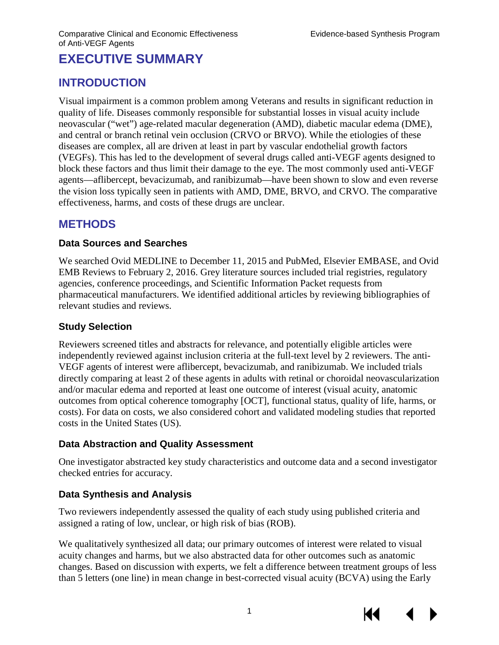# **EXECUTIVE SUMMARY**

# **INTRODUCTION**

Visual impairment is a common problem among Veterans and results in significant reduction in quality of life. Diseases commonly responsible for substantial losses in visual acuity include neovascular ("wet") age-related macular degeneration (AMD), diabetic macular edema (DME), and central or branch retinal vein occlusion (CRVO or BRVO). While the etiologies of these diseases are complex, all are driven at least in part by vascular endothelial growth factors (VEGFs). This has led to the development of several drugs called anti-VEGF agents designed to block these factors and thus limit their damage to the eye. The most commonly used anti-VEGF agents—aflibercept, bevacizumab, and ranibizumab—have been shown to slow and even reverse the vision loss typically seen in patients with AMD, DME, BRVO, and CRVO. The comparative effectiveness, harms, and costs of these drugs are unclear.

## **METHODS**

#### **Data Sources and Searches**

We searched Ovid MEDLINE to December 11, 2015 and PubMed, Elsevier EMBASE, and Ovid EMB Reviews to February 2, 2016. Grey literature sources included trial registries, regulatory agencies, conference proceedings, and Scientific Information Packet requests from pharmaceutical manufacturers. We identified additional articles by reviewing bibliographies of relevant studies and reviews.

#### **Study Selection**

Reviewers screened titles and abstracts for relevance, and potentially eligible articles were independently reviewed against inclusion criteria at the full-text level by 2 reviewers. The anti-VEGF agents of interest were aflibercept, bevacizumab, and ranibizumab. We included trials directly comparing at least 2 of these agents in adults with retinal or choroidal neovascularization and/or macular edema and reported at least one outcome of interest (visual acuity, anatomic outcomes from optical coherence tomography [OCT], functional status, quality of life, harms, or costs). For data on costs, we also considered cohort and validated modeling studies that reported costs in the United States (US).

#### **Data Abstraction and Quality Assessment**

One investigator abstracted key study characteristics and outcome data and a second investigator checked entries for accuracy.

### **Data Synthesis and Analysis**

Two reviewers independently assessed the quality of each study using published criteria and assigned a rating of low, unclear, or high risk of bias (ROB).

We qualitatively synthesized all data; our primary outcomes of interest were related to visual acuity changes and harms, but we also abstracted data for other outcomes such as anatomic changes. Based on discussion with experts, we felt a difference between treatment groups of less than 5 letters (one line) in mean change in best-corrected visual acuity (BCVA) using the Early

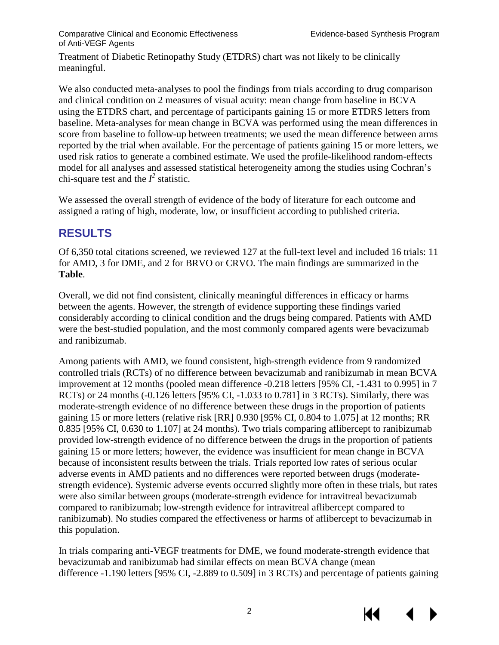Comparative Clinical and Economic Effectiveness Evidence-based Synthesis Program of Anti-VEGF Agents

Treatment of Diabetic Retinopathy Study (ETDRS) chart was not likely to be clinically meaningful.

We also conducted meta-analyses to pool the findings from trials according to drug comparison and clinical condition on 2 measures of visual acuity: mean change from baseline in BCVA using the ETDRS chart, and percentage of participants gaining 15 or more ETDRS letters from baseline. Meta-analyses for mean change in BCVA was performed using the mean differences in score from baseline to follow-up between treatments; we used the mean difference between arms reported by the trial when available. For the percentage of patients gaining 15 or more letters, we used risk ratios to generate a combined estimate. We used the profile-likelihood random-effects model for all analyses and assessed statistical heterogeneity among the studies using Cochran's chi-square test and the  $I^2$  statistic.

We assessed the overall strength of evidence of the body of literature for each outcome and assigned a rating of high, moderate, low, or insufficient according to published criteria.

# **RESULTS**

Of 6,350 total citations screened, we reviewed 127 at the full-text level and included 16 trials: 11 for AMD, 3 for DME, and 2 for BRVO or CRVO. The main findings are summarized in the **Table**.

Overall, we did not find consistent, clinically meaningful differences in efficacy or harms between the agents. However, the strength of evidence supporting these findings varied considerably according to clinical condition and the drugs being compared. Patients with AMD were the best-studied population, and the most commonly compared agents were bevacizumab and ranibizumab.

Among patients with AMD, we found consistent, high-strength evidence from 9 randomized controlled trials (RCTs) of no difference between bevacizumab and ranibizumab in mean BCVA improvement at 12 months (pooled mean difference -0.218 letters [95% CI, -1.431 to 0.995] in 7 RCTs) or 24 months (-0.126 letters [95% CI, -1.033 to 0.781] in 3 RCTs). Similarly, there was moderate-strength evidence of no difference between these drugs in the proportion of patients gaining 15 or more letters (relative risk [RR] 0.930 [95% CI, 0.804 to 1.075] at 12 months; RR 0.835 [95% CI, 0.630 to 1.107] at 24 months). Two trials comparing aflibercept to ranibizumab provided low-strength evidence of no difference between the drugs in the proportion of patients gaining 15 or more letters; however, the evidence was insufficient for mean change in BCVA because of inconsistent results between the trials. Trials reported low rates of serious ocular adverse events in AMD patients and no differences were reported between drugs (moderatestrength evidence). Systemic adverse events occurred slightly more often in these trials, but rates were also similar between groups (moderate-strength evidence for intravitreal bevacizumab compared to ranibizumab; low-strength evidence for intravitreal aflibercept compared to ranibizumab). No studies compared the effectiveness or harms of aflibercept to bevacizumab in this population.

In trials comparing anti-VEGF treatments for DME, we found moderate-strength evidence that bevacizumab and ranibizumab had similar effects on mean BCVA change (mean difference -1.190 letters [95% CI, -2.889 to 0.509] in 3 RCTs) and percentage of patients gaining

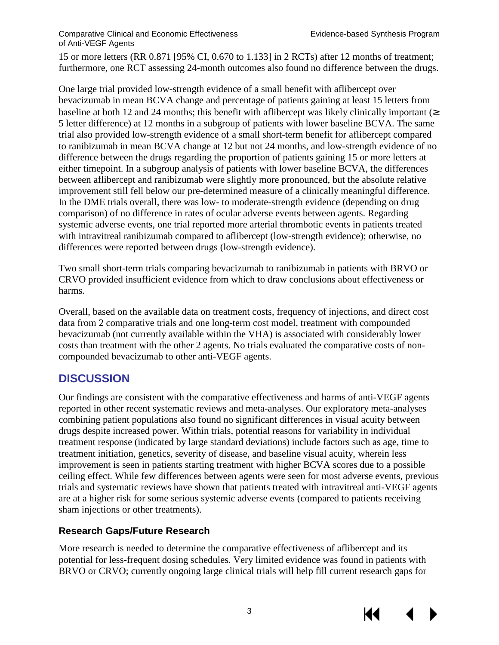#### Comparative Clinical and Economic Effectiveness Evidence-based Synthesis Program of Anti-VEGF Agents

15 or more letters (RR 0.871 [95% CI, 0.670 to 1.133] in 2 RCTs) after 12 months of treatment; furthermore, one RCT assessing 24-month outcomes also found no difference between the drugs.

One large trial provided low-strength evidence of a small benefit with aflibercept over bevacizumab in mean BCVA change and percentage of patients gaining at least 15 letters from baseline at both 12 and 24 months; this benefit with aflibercept was likely clinically important (<sup>3</sup>) 5 letter difference) at 12 months in a subgroup of patients with lower baseline BCVA. The same trial also provided low-strength evidence of a small short-term benefit for aflibercept compared to ranibizumab in mean BCVA change at 12 but not 24 months, and low-strength evidence of no difference between the drugs regarding the proportion of patients gaining 15 or more letters at either timepoint. In a subgroup analysis of patients with lower baseline BCVA, the differences between aflibercept and ranibizumab were slightly more pronounced, but the absolute relative improvement still fell below our pre-determined measure of a clinically meaningful difference. In the DME trials overall, there was low- to moderate-strength evidence (depending on drug comparison) of no difference in rates of ocular adverse events between agents. Regarding systemic adverse events, one trial reported more arterial thrombotic events in patients treated with intravitreal ranibizumab compared to aflibercept (low-strength evidence); otherwise, no differences were reported between drugs (low-strength evidence).

Two small short-term trials comparing bevacizumab to ranibizumab in patients with BRVO or CRVO provided insufficient evidence from which to draw conclusions about effectiveness or harms.

Overall, based on the available data on treatment costs, frequency of injections, and direct cost data from 2 comparative trials and one long-term cost model, treatment with compounded bevacizumab (not currently available within the VHA) is associated with considerably lower costs than treatment with the other 2 agents. No trials evaluated the comparative costs of noncompounded bevacizumab to other anti-VEGF agents.

## **DISCUSSION**

Our findings are consistent with the comparative effectiveness and harms of anti-VEGF agents reported in other recent systematic reviews and meta-analyses. Our exploratory meta-analyses combining patient populations also found no significant differences in visual acuity between drugs despite increased power. Within trials, potential reasons for variability in individual treatment response (indicated by large standard deviations) include factors such as age, time to treatment initiation, genetics, severity of disease, and baseline visual acuity, wherein less improvement is seen in patients starting treatment with higher BCVA scores due to a possible ceiling effect. While few differences between agents were seen for most adverse events, previous trials and systematic reviews have shown that patients treated with intravitreal anti-VEGF agents are at a higher risk for some serious systemic adverse events (compared to patients receiving sham injections or other treatments).

## **Research Gaps/Future Research**

More research is needed to determine the comparative effectiveness of aflibercept and its potential for less-frequent dosing schedules. Very limited evidence was found in patients with BRVO or CRVO; currently ongoing large clinical trials will help fill current research gaps for

3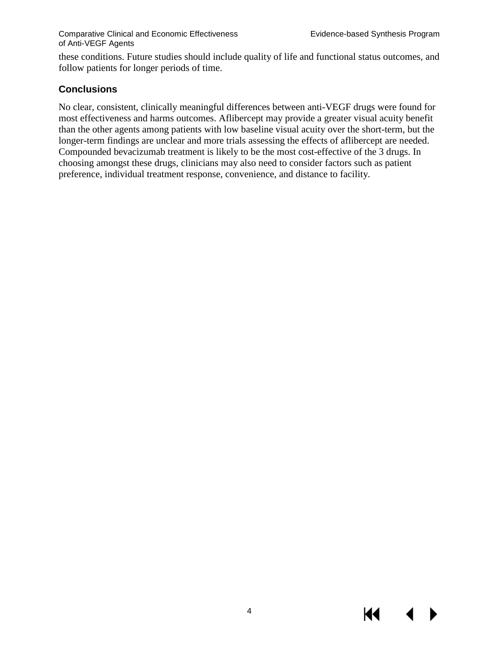KI

these conditions. Future studies should include quality of life and functional status outcomes, and follow patients for longer periods of time.

#### **Conclusions**

No clear, consistent, clinically meaningful differences between anti-VEGF drugs were found for most effectiveness and harms outcomes. Aflibercept may provide a greater visual acuity benefit than the other agents among patients with low baseline visual acuity over the short-term, but the longer-term findings are unclear and more trials assessing the effects of aflibercept are needed. Compounded bevacizumab treatment is likely to be the most cost-effective of the 3 drugs. In choosing amongst these drugs, clinicians may also need to consider factors such as patient preference, individual treatment response, convenience, and distance to facility.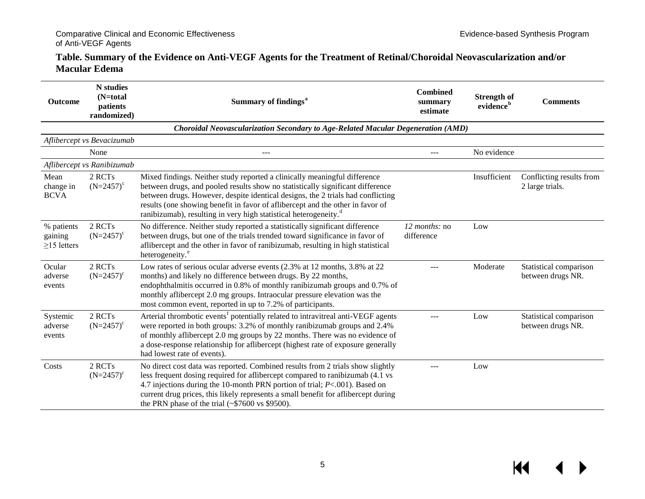#### **Table. Summary of the Evidence on Anti-VEGF Agents for the Treatment of Retinal/Choroidal Neovascularization and/or Macular Edema**

| Outcome                                    | <b>N</b> studies<br>$(N=total)$<br>patients<br>randomized) | Summary of findings <sup>a</sup>                                                                                                                                                                                                                                                                                                                                                                                 | <b>Combined</b><br>summary<br>estimate | <b>Strength of</b><br>evidence <sup>b</sup> | <b>Comments</b>                             |
|--------------------------------------------|------------------------------------------------------------|------------------------------------------------------------------------------------------------------------------------------------------------------------------------------------------------------------------------------------------------------------------------------------------------------------------------------------------------------------------------------------------------------------------|----------------------------------------|---------------------------------------------|---------------------------------------------|
|                                            |                                                            | Choroidal Neovascularization Secondary to Age-Related Macular Degeneration (AMD)                                                                                                                                                                                                                                                                                                                                 |                                        |                                             |                                             |
|                                            | Aflibercept vs Bevacizumab                                 |                                                                                                                                                                                                                                                                                                                                                                                                                  |                                        |                                             |                                             |
|                                            | None                                                       | ---                                                                                                                                                                                                                                                                                                                                                                                                              | $- - -$                                | No evidence                                 |                                             |
|                                            | Aflibercept vs Ranibizumab                                 |                                                                                                                                                                                                                                                                                                                                                                                                                  |                                        |                                             |                                             |
| Mean<br>change in<br><b>BCVA</b>           | 2 RCTs<br>$(N=2457)^c$                                     | Mixed findings. Neither study reported a clinically meaningful difference<br>between drugs, and pooled results show no statistically significant difference<br>between drugs. However, despite identical designs, the 2 trials had conflicting<br>results (one showing benefit in favor of aflibercept and the other in favor of<br>ranibizumab), resulting in very high statistical heterogeneity. <sup>d</sup> |                                        | Insufficient                                | Conflicting results from<br>2 large trials. |
| % patients<br>gaining<br>$\geq$ 15 letters | 2 RCTs<br>$(N=2457)^c$                                     | No difference. Neither study reported a statistically significant difference<br>between drugs, but one of the trials trended toward significance in favor of<br>aflibercept and the other in favor of ranibizumab, resulting in high statistical<br>heterogeneity. <sup>e</sup>                                                                                                                                  | 12 months: no<br>difference            | Low                                         |                                             |
| Ocular<br>adverse<br>events                | 2 RCTs<br>$(N=2457)^c$                                     | Low rates of serious ocular adverse events (2.3% at 12 months, 3.8% at 22<br>months) and likely no difference between drugs. By 22 months,<br>endophthalmitis occurred in 0.8% of monthly ranibizumab groups and 0.7% of<br>monthly aflibercept 2.0 mg groups. Intraocular pressure elevation was the<br>most common event, reported in up to 7.2% of participants.                                              |                                        | Moderate                                    | Statistical comparison<br>between drugs NR. |
| Systemic<br>adverse<br>events              | 2 RCTs<br>$(N=2457)^c$                                     | Arterial thrombotic events <sup>f</sup> potentially related to intravitreal anti-VEGF agents<br>were reported in both groups: 3.2% of monthly ranibizumab groups and 2.4%<br>of monthly aflibercept 2.0 mg groups by 22 months. There was no evidence of<br>a dose-response relationship for aflibercept (highest rate of exposure generally<br>had lowest rate of events).                                      | ---                                    | Low                                         | Statistical comparison<br>between drugs NR. |
| Costs                                      | 2 RCTs<br>$(N=2457)^c$                                     | No direct cost data was reported. Combined results from 2 trials show slightly<br>less frequent dosing required for aflibercept compared to ranibizumab (4.1 vs<br>4.7 injections during the 10-month PRN portion of trial; P<.001). Based on<br>current drug prices, this likely represents a small benefit for aflibercept during<br>the PRN phase of the trial $(*\$7600 \text{ vs } \$9500)$ .               | ---                                    | Low                                         |                                             |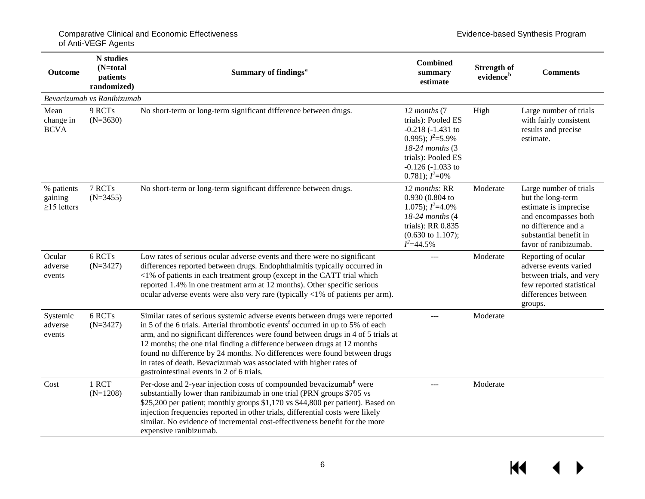| <b>Outcome</b>                             | <b>N</b> studies<br>$(N=total)$<br>patients<br>randomized) | Summary of findings <sup>a</sup>                                                                                                                                                                                                                                                                                                                                                                                                                                                                                                           | <b>Combined</b><br>summary<br>estimate                                                                                                                                 | <b>Strength of</b><br>evidence <sup>b</sup> | <b>Comments</b>                                                                                                                                                        |
|--------------------------------------------|------------------------------------------------------------|--------------------------------------------------------------------------------------------------------------------------------------------------------------------------------------------------------------------------------------------------------------------------------------------------------------------------------------------------------------------------------------------------------------------------------------------------------------------------------------------------------------------------------------------|------------------------------------------------------------------------------------------------------------------------------------------------------------------------|---------------------------------------------|------------------------------------------------------------------------------------------------------------------------------------------------------------------------|
|                                            | Bevacizumab vs Ranibizumab                                 |                                                                                                                                                                                                                                                                                                                                                                                                                                                                                                                                            |                                                                                                                                                                        |                                             |                                                                                                                                                                        |
| Mean<br>change in<br><b>BCVA</b>           | 9 RCTs<br>$(N=3630)$                                       | No short-term or long-term significant difference between drugs.                                                                                                                                                                                                                                                                                                                                                                                                                                                                           | 12 months (7<br>trials): Pooled ES<br>$-0.218 (-1.431)$<br>0.995); $I^2 = 5.9\%$<br>18-24 months (3<br>trials): Pooled ES<br>$-0.126 (-1.033)$ to<br>0.781); $I^2=0\%$ | High                                        | Large number of trials<br>with fairly consistent<br>results and precise<br>estimate.                                                                                   |
| % patients<br>gaining<br>$\geq$ 15 letters | 7 RCTs<br>$(N=3455)$                                       | No short-term or long-term significant difference between drugs.                                                                                                                                                                                                                                                                                                                                                                                                                                                                           | 12 months: RR<br>0.930 (0.804 to<br>1.075); $I^2=4.0\%$<br>18-24 months (4<br>trials): RR 0.835<br>$(0.630 \text{ to } 1.107);$<br>$I^2 = 44.5\%$                      | Moderate                                    | Large number of trials<br>but the long-term<br>estimate is imprecise<br>and encompasses both<br>no difference and a<br>substantial benefit in<br>favor of ranibizumab. |
| Ocular<br>adverse<br>events                | 6 RCTs<br>$(N=3427)$                                       | Low rates of serious ocular adverse events and there were no significant<br>differences reported between drugs. Endophthalmitis typically occurred in<br><1% of patients in each treatment group (except in the CATT trial which<br>reported 1.4% in one treatment arm at 12 months). Other specific serious<br>ocular adverse events were also very rare (typically $< 1\%$ of patients per arm).                                                                                                                                         |                                                                                                                                                                        | Moderate                                    | Reporting of ocular<br>adverse events varied<br>between trials, and very<br>few reported statistical<br>differences between<br>groups.                                 |
| Systemic<br>adverse<br>events              | 6 RCTs<br>$(N=3427)$                                       | Similar rates of serious systemic adverse events between drugs were reported<br>in 5 of the 6 trials. Arterial thrombotic events <sup>f</sup> occurred in up to 5% of each<br>arm, and no significant differences were found between drugs in 4 of 5 trials at<br>12 months; the one trial finding a difference between drugs at 12 months<br>found no difference by 24 months. No differences were found between drugs<br>in rates of death. Bevacizumab was associated with higher rates of<br>gastrointestinal events in 2 of 6 trials. | ---                                                                                                                                                                    | Moderate                                    |                                                                                                                                                                        |
| Cost                                       | 1 RCT<br>$(N=1208)$                                        | Per-dose and 2-year injection costs of compounded bevacizumab <sup>g</sup> were<br>substantially lower than ranibizumab in one trial (PRN groups \$705 vs<br>\$25,200 per patient; monthly groups \$1,170 vs \$44,800 per patient). Based on<br>injection frequencies reported in other trials, differential costs were likely<br>similar. No evidence of incremental cost-effectiveness benefit for the more<br>expensive ranibizumab.                                                                                                    | ---                                                                                                                                                                    | Moderate                                    |                                                                                                                                                                        |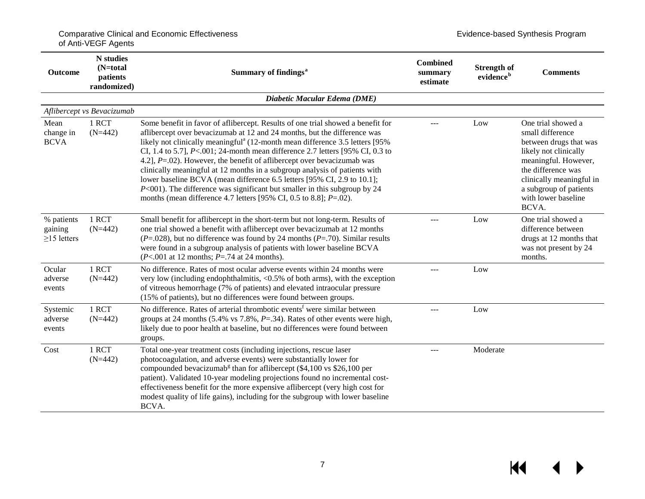| <b>Outcome</b>                             | <b>N</b> studies<br>$(N=total)$<br>patients<br>randomized) | Summary of findings <sup>a</sup>                                                                                                                                                                                                                                                                                                                                                                                                                                                                                                                                                                                                                                                                                                              | <b>Combined</b><br>summary<br>estimate | <b>Strength of</b><br>evidence <sup>b</sup> | <b>Comments</b>                                                                                                                                                                                                               |
|--------------------------------------------|------------------------------------------------------------|-----------------------------------------------------------------------------------------------------------------------------------------------------------------------------------------------------------------------------------------------------------------------------------------------------------------------------------------------------------------------------------------------------------------------------------------------------------------------------------------------------------------------------------------------------------------------------------------------------------------------------------------------------------------------------------------------------------------------------------------------|----------------------------------------|---------------------------------------------|-------------------------------------------------------------------------------------------------------------------------------------------------------------------------------------------------------------------------------|
|                                            |                                                            | Diabetic Macular Edema (DME)                                                                                                                                                                                                                                                                                                                                                                                                                                                                                                                                                                                                                                                                                                                  |                                        |                                             |                                                                                                                                                                                                                               |
|                                            | Aflibercept vs Bevacizumab                                 |                                                                                                                                                                                                                                                                                                                                                                                                                                                                                                                                                                                                                                                                                                                                               |                                        |                                             |                                                                                                                                                                                                                               |
| Mean<br>change in<br><b>BCVA</b>           | 1 RCT<br>$(N=442)$                                         | Some benefit in favor of aflibercept. Results of one trial showed a benefit for<br>aflibercept over bevacizumab at 12 and 24 months, but the difference was<br>likely not clinically meaningful <sup>a</sup> (12-month mean difference 3.5 letters [95%<br>CI, 1.4 to 5.7], $P < .001$ ; 24-month mean difference 2.7 letters [95% CI, 0.3 to<br>4.2], $P = .02$ ). However, the benefit of aflibercept over bevacizumab was<br>clinically meaningful at 12 months in a subgroup analysis of patients with<br>lower baseline BCVA (mean difference 6.5 letters [95% CI, 2.9 to 10.1];<br>$P<001$ ). The difference was significant but smaller in this subgroup by 24<br>months (mean difference 4.7 letters [95% CI, 0.5 to 8.8]; $P=.02$ ). |                                        | Low                                         | One trial showed a<br>small difference<br>between drugs that was<br>likely not clinically<br>meaningful. However,<br>the difference was<br>clinically meaningful in<br>a subgroup of patients<br>with lower baseline<br>BCVA. |
| % patients<br>gaining<br>$\geq$ 15 letters | 1 RCT<br>$(N=442)$                                         | Small benefit for aflibercept in the short-term but not long-term. Results of<br>one trial showed a benefit with aflibercept over bevacizumab at 12 months<br>$(P=.028)$ , but no difference was found by 24 months $(P=.70)$ . Similar results<br>were found in a subgroup analysis of patients with lower baseline BCVA<br>$(P<.001$ at 12 months; $P=.74$ at 24 months).                                                                                                                                                                                                                                                                                                                                                                   |                                        | Low                                         | One trial showed a<br>difference between<br>drugs at 12 months that<br>was not present by 24<br>months.                                                                                                                       |
| Ocular<br>adverse<br>events                | 1 RCT<br>$(N=442)$                                         | No difference. Rates of most ocular adverse events within 24 months were<br>very low (including endophthalmitis, $\langle 0.5\%$ of both arms), with the exception<br>of vitreous hemorrhage (7% of patients) and elevated intraocular pressure<br>(15% of patients), but no differences were found between groups.                                                                                                                                                                                                                                                                                                                                                                                                                           |                                        | Low                                         |                                                                                                                                                                                                                               |
| Systemic<br>adverse<br>events              | 1 RCT<br>$(N=442)$                                         | No difference. Rates of arterial thrombotic events <sup>f</sup> were similar between<br>groups at 24 months (5.4% vs $7.8\%$ , $P = .34$ ). Rates of other events were high,<br>likely due to poor health at baseline, but no differences were found between<br>groups.                                                                                                                                                                                                                                                                                                                                                                                                                                                                       | ---                                    | Low                                         |                                                                                                                                                                                                                               |
| Cost                                       | 1 RCT<br>$(N=442)$                                         | Total one-year treatment costs (including injections, rescue laser<br>photocoagulation, and adverse events) were substantially lower for<br>compounded bevacizumab <sup>g</sup> than for aflibercept (\$4,100 vs \$26,100 per<br>patient). Validated 10-year modeling projections found no incremental cost-<br>effectiveness benefit for the more expensive aflibercept (very high cost for<br>modest quality of life gains), including for the subgroup with lower baseline<br>BCVA.                                                                                                                                                                                                                                                        | ---                                    | Moderate                                    |                                                                                                                                                                                                                               |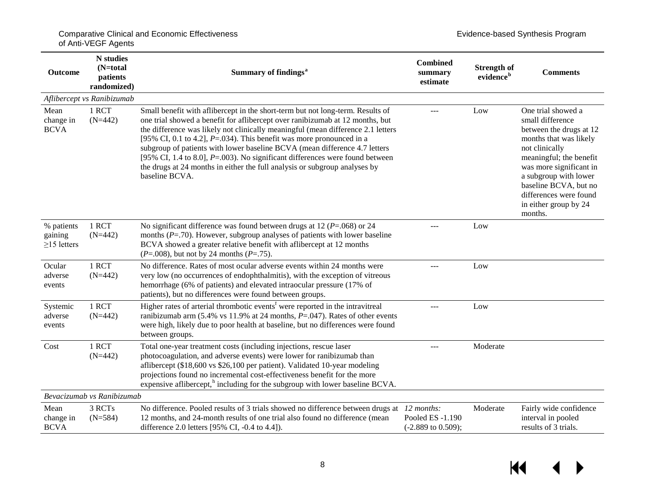| <b>Outcome</b>                             | <b>N</b> studies<br>(N=total<br>patients<br>randomized) | Summary of findings <sup>a</sup>                                                                                                                                                                                                                                                                                                                                                                                                                                                                                                                                                                    | <b>Combined</b><br>summary<br>estimate            | <b>Strength of</b><br>evidence <sup>b</sup> | <b>Comments</b>                                                                                                                                                                                                                                                                     |
|--------------------------------------------|---------------------------------------------------------|-----------------------------------------------------------------------------------------------------------------------------------------------------------------------------------------------------------------------------------------------------------------------------------------------------------------------------------------------------------------------------------------------------------------------------------------------------------------------------------------------------------------------------------------------------------------------------------------------------|---------------------------------------------------|---------------------------------------------|-------------------------------------------------------------------------------------------------------------------------------------------------------------------------------------------------------------------------------------------------------------------------------------|
|                                            | Aflibercept vs Ranibizumab                              |                                                                                                                                                                                                                                                                                                                                                                                                                                                                                                                                                                                                     |                                                   |                                             |                                                                                                                                                                                                                                                                                     |
| Mean<br>change in<br><b>BCVA</b>           | 1 RCT<br>$(N=442)$                                      | Small benefit with aflibercept in the short-term but not long-term. Results of<br>one trial showed a benefit for aflibercept over ranibizumab at 12 months, but<br>the difference was likely not clinically meaningful (mean difference 2.1 letters<br>[95% CI, 0.1 to 4.2], $P = .034$ ). This benefit was more pronounced in a<br>subgroup of patients with lower baseline BCVA (mean difference 4.7 letters<br>[95% CI, 1.4 to 8.0], $P = .003$ ). No significant differences were found between<br>the drugs at 24 months in either the full analysis or subgroup analyses by<br>baseline BCVA. |                                                   | Low                                         | One trial showed a<br>small difference<br>between the drugs at 12<br>months that was likely<br>not clinically<br>meaningful; the benefit<br>was more significant in<br>a subgroup with lower<br>baseline BCVA, but no<br>differences were found<br>in either group by 24<br>months. |
| % patients<br>gaining<br>$\geq$ 15 letters | 1 RCT<br>$(N=442)$                                      | No significant difference was found between drugs at 12 ( $P = .068$ ) or 24<br>months $(P=.70)$ . However, subgroup analyses of patients with lower baseline<br>BCVA showed a greater relative benefit with aflibercept at 12 months<br>$(P=.008)$ , but not by 24 months $(P=.75)$ .                                                                                                                                                                                                                                                                                                              | ---                                               | Low                                         |                                                                                                                                                                                                                                                                                     |
| Ocular<br>adverse<br>events                | 1 RCT<br>$(N=442)$                                      | No difference. Rates of most ocular adverse events within 24 months were<br>very low (no occurrences of endophthalmitis), with the exception of vitreous<br>hemorrhage (6% of patients) and elevated intraocular pressure (17% of<br>patients), but no differences were found between groups.                                                                                                                                                                                                                                                                                                       | ---                                               | Low                                         |                                                                                                                                                                                                                                                                                     |
| Systemic<br>adverse<br>events              | 1 RCT<br>$(N=442)$                                      | Higher rates of arterial thrombotic events <sup>f</sup> were reported in the intravitreal<br>ranibizumab arm (5.4% vs 11.9% at 24 months, $P = .047$ ). Rates of other events<br>were high, likely due to poor health at baseline, but no differences were found<br>between groups.                                                                                                                                                                                                                                                                                                                 | $---$                                             | Low                                         |                                                                                                                                                                                                                                                                                     |
| Cost                                       | 1 RCT<br>$(N=442)$                                      | Total one-year treatment costs (including injections, rescue laser<br>photocoagulation, and adverse events) were lower for ranibizumab than<br>aflibercept (\$18,600 vs \$26,100 per patient). Validated 10-year modeling<br>projections found no incremental cost-effectiveness benefit for the more<br>expensive aflibercept, <sup>h</sup> including for the subgroup with lower baseline BCVA.                                                                                                                                                                                                   | $---$                                             | Moderate                                    |                                                                                                                                                                                                                                                                                     |
|                                            | Bevacizumab vs Ranibizumab                              |                                                                                                                                                                                                                                                                                                                                                                                                                                                                                                                                                                                                     |                                                   |                                             |                                                                                                                                                                                                                                                                                     |
| Mean<br>change in<br><b>BCVA</b>           | 3 RCTs<br>$(N=584)$                                     | No difference. Pooled results of 3 trials showed no difference between drugs at 12 months:<br>12 months, and 24-month results of one trial also found no difference (mean<br>difference 2.0 letters [95% CI, -0.4 to 4.4]).                                                                                                                                                                                                                                                                                                                                                                         | Pooled ES -1.190<br>$(-2.889 \text{ to } 0.509);$ | Moderate                                    | Fairly wide confidence<br>interval in pooled<br>results of 3 trials.                                                                                                                                                                                                                |

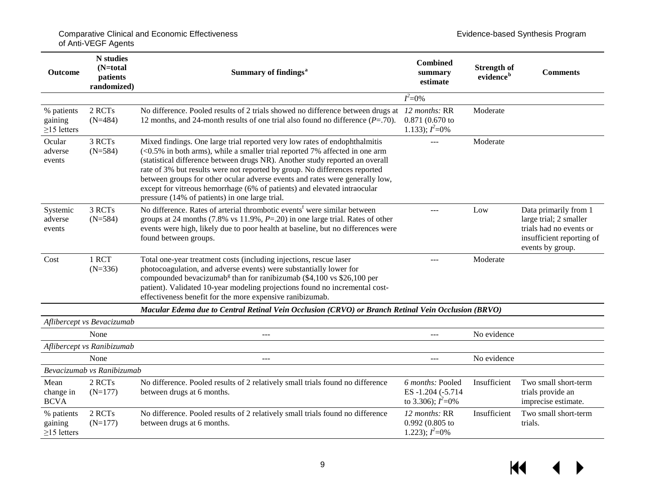| <b>Outcome</b>                             | <b>N</b> studies<br>$(N=total)$<br>patients<br>randomized) | Summary of findings <sup>a</sup>                                                                                                                                                                                                                                                                                                                                                                                                                                                                                                         | Combined<br>summary<br>estimate                                       | <b>Strength of</b><br>evidence <sup>b</sup> | <b>Comments</b>                                                                                                             |
|--------------------------------------------|------------------------------------------------------------|------------------------------------------------------------------------------------------------------------------------------------------------------------------------------------------------------------------------------------------------------------------------------------------------------------------------------------------------------------------------------------------------------------------------------------------------------------------------------------------------------------------------------------------|-----------------------------------------------------------------------|---------------------------------------------|-----------------------------------------------------------------------------------------------------------------------------|
|                                            |                                                            |                                                                                                                                                                                                                                                                                                                                                                                                                                                                                                                                          | $I^2=0\%$                                                             |                                             |                                                                                                                             |
| % patients<br>gaining<br>$\geq$ 15 letters | 2 RCTs<br>$(N=484)$                                        | No difference. Pooled results of 2 trials showed no difference between drugs at 12 months: RR<br>12 months, and 24-month results of one trial also found no difference $(P=.70)$ .                                                                                                                                                                                                                                                                                                                                                       | $0.871(0.670)$ to<br>1.133); $I^2=0\%$                                | Moderate                                    |                                                                                                                             |
| Ocular<br>adverse<br>events                | 3 RCTs<br>$(N=584)$                                        | Mixed findings. One large trial reported very low rates of endophthalmitis<br>$(<0.5\%$ in both arms), while a smaller trial reported 7% affected in one arm<br>(statistical difference between drugs NR). Another study reported an overall<br>rate of 3% but results were not reported by group. No differences reported<br>between groups for other ocular adverse events and rates were generally low,<br>except for vitreous hemorrhage (6% of patients) and elevated intraocular<br>pressure (14% of patients) in one large trial. |                                                                       | Moderate                                    |                                                                                                                             |
| Systemic<br>adverse<br>events              | 3 RCTs<br>$(N=584)$                                        | No difference. Rates of arterial thrombotic events <sup>f</sup> were similar between<br>groups at 24 months (7.8% vs 11.9%, $P = 20$ ) in one large trial. Rates of other<br>events were high, likely due to poor health at baseline, but no differences were<br>found between groups.                                                                                                                                                                                                                                                   | ---                                                                   | Low                                         | Data primarily from 1<br>large trial; 2 smaller<br>trials had no events or<br>insufficient reporting of<br>events by group. |
| Cost                                       | 1 RCT<br>$(N=336)$                                         | Total one-year treatment costs (including injections, rescue laser<br>photocoagulation, and adverse events) were substantially lower for<br>compounded bevacizumab <sup>g</sup> than for ranibizumab (\$4,100 vs \$26,100 per<br>patient). Validated 10-year modeling projections found no incremental cost-<br>effectiveness benefit for the more expensive ranibizumab.                                                                                                                                                                | ---                                                                   | Moderate                                    |                                                                                                                             |
|                                            |                                                            | Macular Edema due to Central Retinal Vein Occlusion (CRVO) or Branch Retinal Vein Occlusion (BRVO)                                                                                                                                                                                                                                                                                                                                                                                                                                       |                                                                       |                                             |                                                                                                                             |
|                                            | Aflibercept vs Bevacizumab                                 |                                                                                                                                                                                                                                                                                                                                                                                                                                                                                                                                          |                                                                       |                                             |                                                                                                                             |
|                                            | None                                                       | ---                                                                                                                                                                                                                                                                                                                                                                                                                                                                                                                                      | $---$                                                                 | No evidence                                 |                                                                                                                             |
|                                            | Aflibercept vs Ranibizumab                                 |                                                                                                                                                                                                                                                                                                                                                                                                                                                                                                                                          |                                                                       |                                             |                                                                                                                             |
|                                            | None                                                       | ---                                                                                                                                                                                                                                                                                                                                                                                                                                                                                                                                      | ---                                                                   | No evidence                                 |                                                                                                                             |
|                                            | Bevacizumab vs Ranibizumab                                 |                                                                                                                                                                                                                                                                                                                                                                                                                                                                                                                                          |                                                                       |                                             |                                                                                                                             |
| Mean<br>change in<br><b>BCVA</b>           | 2 RCTs<br>$(N=177)$                                        | No difference. Pooled results of 2 relatively small trials found no difference<br>between drugs at 6 months.                                                                                                                                                                                                                                                                                                                                                                                                                             | 6 <i>months</i> : Pooled<br>ES-1.204 (-5.714)<br>to 3.306); $I^2=0\%$ | Insufficient                                | Two small short-term<br>trials provide an<br>imprecise estimate.                                                            |
| % patients<br>gaining<br>$\geq$ 15 letters | 2 RCTs<br>$(N=177)$                                        | No difference. Pooled results of 2 relatively small trials found no difference<br>between drugs at 6 months.                                                                                                                                                                                                                                                                                                                                                                                                                             | 12 months: RR<br>0.992 (0.805 to<br>1.223); $I^2=0\%$                 | Insufficient                                | Two small short-term<br>trials.                                                                                             |

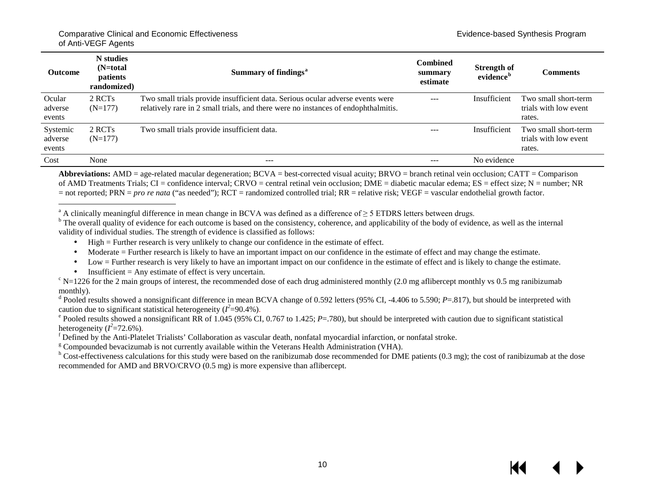| <b>Outcome</b>                | N studies<br>$(N=total)$<br>patients<br>randomized) | Summary of findings <sup>a</sup>                                                                                                                                     | <b>Combined</b><br>summary<br>estimate | <b>Strength of</b><br>evidence <sup>b</sup> | <b>Comments</b>                                         |
|-------------------------------|-----------------------------------------------------|----------------------------------------------------------------------------------------------------------------------------------------------------------------------|----------------------------------------|---------------------------------------------|---------------------------------------------------------|
| Ocular<br>adverse<br>events   | 2 RCT <sub>s</sub><br>$(N=177)$                     | Two small trials provide insufficient data. Serious ocular adverse events were<br>relatively rare in 2 small trials, and there were no instances of endophthalmitis. | $---$                                  | Insufficient                                | Two small short-term<br>trials with low event<br>rates. |
| Systemic<br>adverse<br>events | 2 RCT <sub>s</sub><br>$(N=177)$                     | Two small trials provide insufficient data.                                                                                                                          | $- - -$                                | Insufficient                                | Two small short-term<br>trials with low event<br>rates. |
| Cost                          | None                                                | $\frac{1}{2}$                                                                                                                                                        | $---$                                  | No evidence                                 |                                                         |

**Abbreviations:** AMD = age-related macular degeneration; BCVA = best-corrected visual acuity; BRVO = branch retinal vein occlusion; CATT = Comparison of AMD Treatments Trials; CI = confidence interval; CRVO = central retinal vein occlusion; DME = diabetic macular edema; ES = effect size; N = number; NR = not reported; PRN = *pro re nata* ("as needed"); RCT = randomized controlled trial; RR = relative risk; VEGF = vascular endothelial growth factor.

<sup>a</sup> A clinically meaningful difference in mean change in BCVA was defined as a difference of  $\geq$  5 ETDRS letters between drugs.<br><sup>b</sup> The overall quality of evidence for each outcome is based on the consistency, coherence validity of individual studies. The strength of evidence is classified as follows:

High = Further research is very unlikely to change our confidence in the estimate of effect.  $\epsilon$ 

Moderate = Further research is likely to have an important impact on our confidence in the estimate of effect and may change the estimate.  $\epsilon$ 

Low = Further research is very likely to have an important impact on our confidence in the estimate of effect and is likely to change the estimate. ä,

Insufficient = Any estimate of effect is very uncertain.<br><sup>c</sup> N=1226 for the 2 main groups of interest, the recommended dose of each drug administered monthly (2.0 mg aflibercept monthly vs 0.5 mg ranibizumab monthly).

<sup>d</sup> Pooled results showed a nonsignificant difference in mean BCVA change of 0.592 letters (95% CI, -4.406 to 5.590; *P*=.817), but should be interpreted with caution due to significant statistical heterogeneity (*I 2*

 $^{\circ}$  Pooled results showed a nonsignificant RR of 1.045 (95% CI, 0.767 to 1.425; *P*=.780), but should be interpreted with caution due to significant statistical heterogeneity (*I 2*

 $\frac{1}{8}$  Defined by the Anti-Platelet Trialists' Collaboration as vascular death, nonfatal myocardial infarction, or nonfatal stroke.<br>
<sup>8</sup> Compounded bevacizumab is not currently available within the Veterans Health Admi recommended for AMD and BRVO/CRVO (0.5 mg) is more expensive than aflibercept.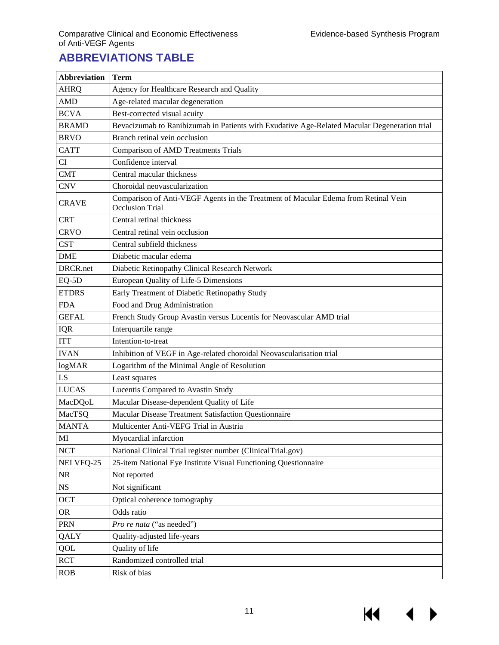14

# <span id="page-12-7"></span><span id="page-12-6"></span><span id="page-12-5"></span><span id="page-12-4"></span><span id="page-12-3"></span><span id="page-12-2"></span><span id="page-12-1"></span><span id="page-12-0"></span>**ABBREVIATIONS TABLE**

| <b>Abbreviation</b> | <b>Term</b>                                                                                                  |
|---------------------|--------------------------------------------------------------------------------------------------------------|
| <b>AHRQ</b>         | Agency for Healthcare Research and Quality                                                                   |
| <b>AMD</b>          | Age-related macular degeneration                                                                             |
| <b>BCVA</b>         | Best-corrected visual acuity                                                                                 |
| <b>BRAMD</b>        | Bevacizumab to Ranibizumab in Patients with Exudative Age-Related Macular Degeneration trial                 |
| <b>BRVO</b>         | Branch retinal vein occlusion                                                                                |
| <b>CATT</b>         | <b>Comparison of AMD Treatments Trials</b>                                                                   |
| CI                  | Confidence interval                                                                                          |
| <b>CMT</b>          | Central macular thickness                                                                                    |
| <b>CNV</b>          | Choroidal neovascularization                                                                                 |
| <b>CRAVE</b>        | Comparison of Anti-VEGF Agents in the Treatment of Macular Edema from Retinal Vein<br><b>Occlusion Trial</b> |
| <b>CRT</b>          | Central retinal thickness                                                                                    |
| <b>CRVO</b>         | Central retinal vein occlusion                                                                               |
| <b>CST</b>          | Central subfield thickness                                                                                   |
| <b>DME</b>          | Diabetic macular edema                                                                                       |
| DRCR.net            | Diabetic Retinopathy Clinical Research Network                                                               |
| EQ-5D               | European Quality of Life-5 Dimensions                                                                        |
| <b>ETDRS</b>        | Early Treatment of Diabetic Retinopathy Study                                                                |
| <b>FDA</b>          | Food and Drug Administration                                                                                 |
| <b>GEFAL</b>        | French Study Group Avastin versus Lucentis for Neovascular AMD trial                                         |
| IQR                 | Interquartile range                                                                                          |
| <b>ITT</b>          | Intention-to-treat                                                                                           |
| <b>IVAN</b>         | Inhibition of VEGF in Age-related choroidal Neovascularisation trial                                         |
| logMAR              | Logarithm of the Minimal Angle of Resolution                                                                 |
| LS                  | Least squares                                                                                                |
| <b>LUCAS</b>        | Lucentis Compared to Avastin Study                                                                           |
| MacDQoL             | Macular Disease-dependent Quality of Life                                                                    |
| MacTSQ              | Macular Disease Treatment Satisfaction Questionnaire                                                         |
| <b>MANTA</b>        | Multicenter Anti-VEFG Trial in Austria                                                                       |
| MI                  | Myocardial infarction                                                                                        |
| <b>NCT</b>          | National Clinical Trial register number (ClinicalTrial.gov)                                                  |
| NEI VFQ-25          | 25-item National Eye Institute Visual Functioning Questionnaire                                              |
| NR                  | Not reported                                                                                                 |
| <b>NS</b>           | Not significant                                                                                              |
| <b>OCT</b>          | Optical coherence tomography                                                                                 |
| <b>OR</b>           | Odds ratio                                                                                                   |
| PRN                 | Pro re nata ("as needed")                                                                                    |
| QALY                | Quality-adjusted life-years                                                                                  |
| QOL                 | Quality of life                                                                                              |
| <b>RCT</b>          | Randomized controlled trial                                                                                  |
| <b>ROB</b>          | Risk of bias                                                                                                 |